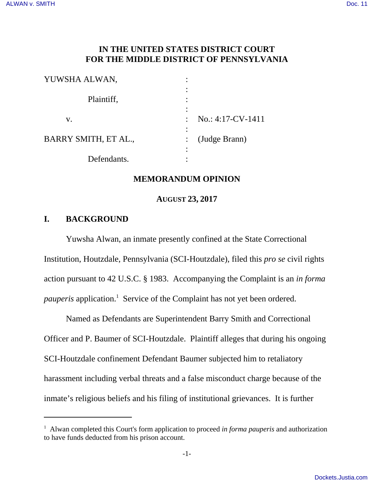# **IN THE UNITED STATES DISTRICT COURT FOR THE MIDDLE DISTRICT OF PENNSYLVANIA**

| YUWSHA ALWAN,        |                                       |
|----------------------|---------------------------------------|
| Plaintiff,           | ٠<br>٠                                |
| V.                   | $\bullet$<br>$No.: 4:17-CV-1411$<br>٠ |
| BARRY SMITH, ET AL., | (Judge Brann)                         |
| Defendants.          | ٠                                     |

### **MEMORANDUM OPINION**

**AUGUST 23, 2017**

# **I. BACKGROUND**

Yuwsha Alwan, an inmate presently confined at the State Correctional Institution, Houtzdale, Pennsylvania (SCI-Houtzdale), filed this *pro se* civil rights action pursuant to 42 U.S.C. § 1983. Accompanying the Complaint is an *in forma* pauperis application.<sup>1</sup> Service of the Complaint has not yet been ordered.

Named as Defendants are Superintendent Barry Smith and Correctional Officer and P. Baumer of SCI-Houtzdale. Plaintiff alleges that during his ongoing SCI-Houtzdale confinement Defendant Baumer subjected him to retaliatory harassment including verbal threats and a false misconduct charge because of the inmate's religious beliefs and his filing of institutional grievances. It is further

<sup>&</sup>lt;sup>1</sup> Alwan completed this Court's form application to proceed in forma pauperis and authorization to have funds deducted from his prison account.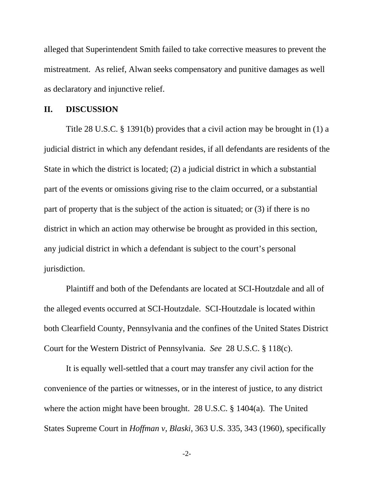alleged that Superintendent Smith failed to take corrective measures to prevent the mistreatment. As relief, Alwan seeks compensatory and punitive damages as well as declaratory and injunctive relief.

#### **II. DISCUSSION**

Title 28 U.S.C. § 1391(b) provides that a civil action may be brought in (1) a judicial district in which any defendant resides, if all defendants are residents of the State in which the district is located; (2) a judicial district in which a substantial part of the events or omissions giving rise to the claim occurred, or a substantial part of property that is the subject of the action is situated; or (3) if there is no district in which an action may otherwise be brought as provided in this section, any judicial district in which a defendant is subject to the court's personal jurisdiction.

Plaintiff and both of the Defendants are located at SCI-Houtzdale and all of the alleged events occurred at SCI-Houtzdale. SCI-Houtzdale is located within both Clearfield County, Pennsylvania and the confines of the United States District Court for the Western District of Pennsylvania. *See* 28 U.S.C. § 118(c).

It is equally well-settled that a court may transfer any civil action for the convenience of the parties or witnesses, or in the interest of justice, to any district where the action might have been brought. 28 U.S.C. § 1404(a). The United States Supreme Court in *Hoffman v, Blaski*, 363 U.S. 335, 343 (1960), specifically

-2-